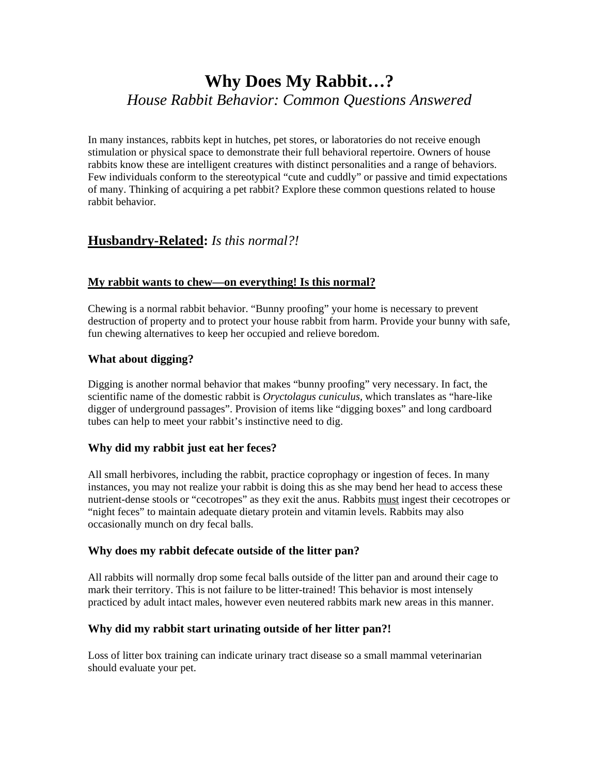# **Why Does My Rabbit…?** *House Rabbit Behavior: Common Questions Answered*

In many instances, rabbits kept in hutches, pet stores, or laboratories do not receive enough stimulation or physical space to demonstrate their full behavioral repertoire. Owners of house rabbits know these are intelligent creatures with distinct personalities and a range of behaviors. Few individuals conform to the stereotypical "cute and cuddly" or passive and timid expectations of many. Thinking of acquiring a pet rabbit? Explore these common questions related to house rabbit behavior.

# **Husbandry-Related:** *Is this normal?!*

# **My rabbit wants to chew—on everything! Is this normal?**

Chewing is a normal rabbit behavior. "Bunny proofing" your home is necessary to prevent destruction of property and to protect your house rabbit from harm. Provide your bunny with safe, fun chewing alternatives to keep her occupied and relieve boredom.

# **What about digging?**

Digging is another normal behavior that makes "bunny proofing" very necessary. In fact, the scientific name of the domestic rabbit is *Oryctolagus cuniculus,* which translates as "hare-like digger of underground passages". Provision of items like "digging boxes" and long cardboard tubes can help to meet your rabbit's instinctive need to dig.

# **Why did my rabbit just eat her feces?**

All small herbivores, including the rabbit, practice coprophagy or ingestion of feces. In many instances, you may not realize your rabbit is doing this as she may bend her head to access these nutrient-dense stools or "cecotropes" as they exit the anus. Rabbits must ingest their cecotropes or "night feces" to maintain adequate dietary protein and vitamin levels. Rabbits may also occasionally munch on dry fecal balls.

# **Why does my rabbit defecate outside of the litter pan?**

All rabbits will normally drop some fecal balls outside of the litter pan and around their cage to mark their territory. This is not failure to be litter-trained! This behavior is most intensely practiced by adult intact males, however even neutered rabbits mark new areas in this manner.

# **Why did my rabbit start urinating outside of her litter pan?!**

Loss of litter box training can indicate urinary tract disease so a small mammal veterinarian should evaluate your pet.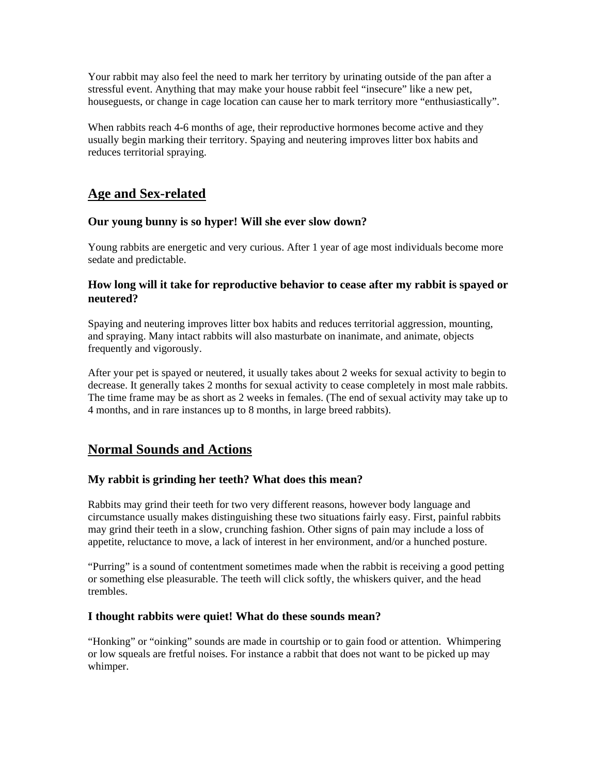Your rabbit may also feel the need to mark her territory by urinating outside of the pan after a stressful event. Anything that may make your house rabbit feel "insecure" like a new pet, houseguests, or change in cage location can cause her to mark territory more "enthusiastically".

When rabbits reach 4-6 months of age, their reproductive hormones become active and they usually begin marking their territory. Spaying and neutering improves litter box habits and reduces territorial spraying.

# **Age and Sex-related**

# **Our young bunny is so hyper! Will she ever slow down?**

Young rabbits are energetic and very curious. After 1 year of age most individuals become more sedate and predictable.

# **How long will it take for reproductive behavior to cease after my rabbit is spayed or neutered?**

Spaying and neutering improves litter box habits and reduces territorial aggression, mounting, and spraying. Many intact rabbits will also masturbate on inanimate, and animate, objects frequently and vigorously.

After your pet is spayed or neutered, it usually takes about 2 weeks for sexual activity to begin to decrease. It generally takes 2 months for sexual activity to cease completely in most male rabbits. The time frame may be as short as 2 weeks in females. (The end of sexual activity may take up to 4 months, and in rare instances up to 8 months, in large breed rabbits).

# **Normal Sounds and Actions**

# **My rabbit is grinding her teeth? What does this mean?**

Rabbits may grind their teeth for two very different reasons, however body language and circumstance usually makes distinguishing these two situations fairly easy. First, painful rabbits may grind their teeth in a slow, crunching fashion. Other signs of pain may include a loss of appetite, reluctance to move, a lack of interest in her environment, and/or a hunched posture.

"Purring" is a sound of contentment sometimes made when the rabbit is receiving a good petting or something else pleasurable. The teeth will click softly, the whiskers quiver, and the head trembles.

# **I thought rabbits were quiet! What do these sounds mean?**

"Honking" or "oinking" sounds are made in courtship or to gain food or attention. Whimpering or low squeals are fretful noises. For instance a rabbit that does not want to be picked up may whimper.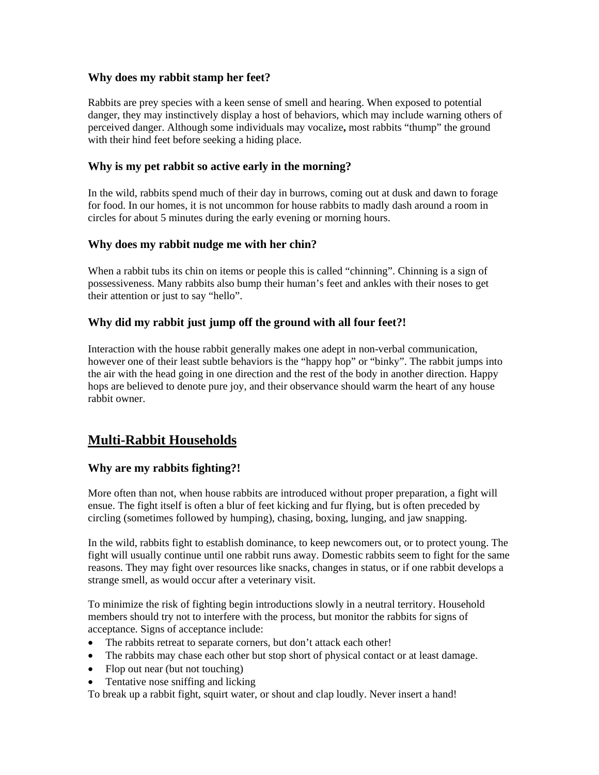# **Why does my rabbit stamp her feet?**

Rabbits are prey species with a keen sense of smell and hearing. When exposed to potential danger, they may instinctively display a host of behaviors, which may include warning others of perceived danger. Although some individuals may vocalize**,** most rabbits "thump" the ground with their hind feet before seeking a hiding place.

#### **Why is my pet rabbit so active early in the morning?**

In the wild, rabbits spend much of their day in burrows, coming out at dusk and dawn to forage for food. In our homes, it is not uncommon for house rabbits to madly dash around a room in circles for about 5 minutes during the early evening or morning hours.

#### **Why does my rabbit nudge me with her chin?**

When a rabbit tubs its chin on items or people this is called "chinning". Chinning is a sign of possessiveness. Many rabbits also bump their human's feet and ankles with their noses to get their attention or just to say "hello".

# **Why did my rabbit just jump off the ground with all four feet?!**

Interaction with the house rabbit generally makes one adept in non-verbal communication, however one of their least subtle behaviors is the "happy hop" or "binky". The rabbit jumps into the air with the head going in one direction and the rest of the body in another direction. Happy hops are believed to denote pure joy, and their observance should warm the heart of any house rabbit owner.

# **Multi-Rabbit Households**

# **Why are my rabbits fighting?!**

More often than not, when house rabbits are introduced without proper preparation, a fight will ensue. The fight itself is often a blur of feet kicking and fur flying, but is often preceded by circling (sometimes followed by humping), chasing, boxing, lunging, and jaw snapping.

In the wild, rabbits fight to establish dominance, to keep newcomers out, or to protect young. The fight will usually continue until one rabbit runs away. Domestic rabbits seem to fight for the same reasons. They may fight over resources like snacks, changes in status, or if one rabbit develops a strange smell, as would occur after a veterinary visit.

To minimize the risk of fighting begin introductions slowly in a neutral territory. Household members should try not to interfere with the process, but monitor the rabbits for signs of acceptance. Signs of acceptance include:

- The rabbits retreat to separate corners, but don't attack each other!
- The rabbits may chase each other but stop short of physical contact or at least damage.
- Flop out near (but not touching)
- Tentative nose sniffing and licking

To break up a rabbit fight, squirt water, or shout and clap loudly. Never insert a hand!